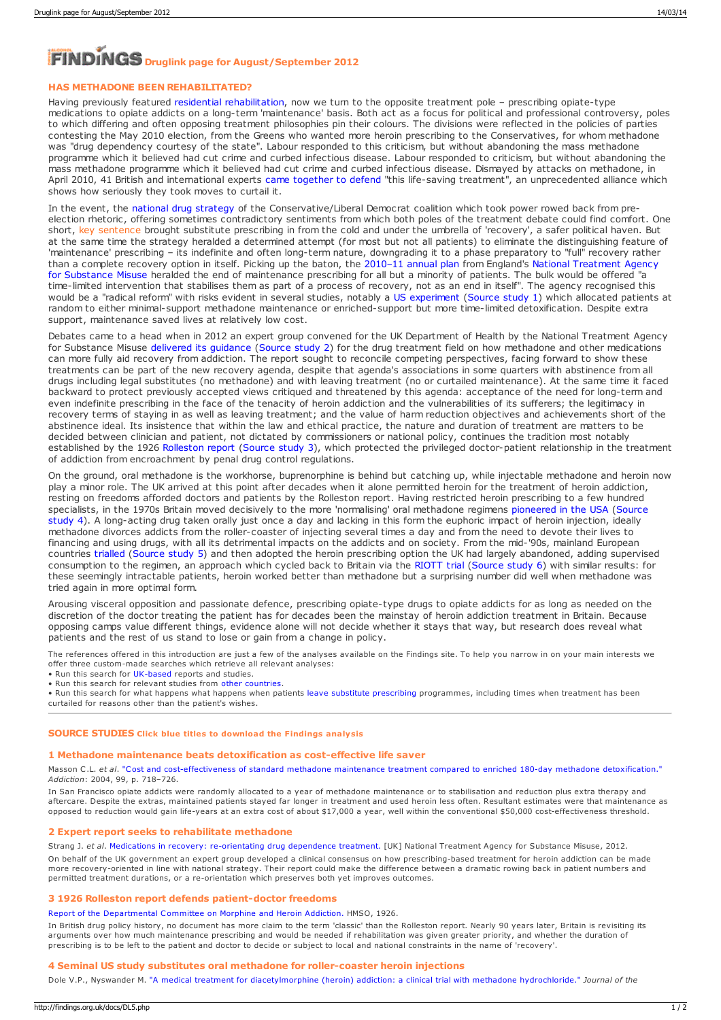# **Druglink page for August/September 2012**

# **HAS METHADONE BEEN REHABILITATED?**

Having previously featured residential [rehabilitation](https://findings.org.uk/count/downloads/download.php?file=DL2.php), now we turn to the opposite treatment pole – prescribing opiate-type medications to opiate addicts on a long-term 'maintenance' basis. Both act as a focus for political and professional controversy, poles to which differing and often opposing treatment philosophies pin their colours. The divisions were reflected in the policies of parties contesting the May 2010 election, from the Greens who wanted more heroin prescribing to the Conservatives, for whom methadone was "drug dependency courtesy of the state". Labour responded to this criticism, but without abandoning the mass methadone programme which it believed had cut crime and curbed infectious disease. Labour responded to criticism, but without abandoning the<br>mass methadone programme which it believed had cut crime and curbed infectious disease. Dis April 2010, 41 British and international experts came [together](http://thescotsman.scotsman.com/opinion/Methadone--is-key-to.6203151.jp) to defend "this life-saving treatment", an unprecedented alliance which shows how seriously they took moves to curtail it.

In the event, the national drug [strategy](https://findings.org.uk/count/downloads/download.php?file=HM_Government_3.cab) of the Conservative/Liberal Democrat coalition which took power rowed back from preelection rhetoric, offering sometimes contradictory sentiments from which both poles of the treatment debate could find comfort. One short, <mark>key sentence brought substitute prescribing in from the cold and under the umbrella of 'recovery', a safer political haven. But</mark> at the same time the strategy heralded a determined attempt (for most but not all patients) to eliminate the distinguishing feature of 'maintenance' prescribing – its indefinite and often long-term nature, downgrading it to a phase preparatory to "full" recovery rather than a complete recovery option in itself. Picking up the baton, the [2010–11](http://www.nta.nhs.uk/uploads/nta_business_plan1a_2010.pdf) annual plan from England's National [Treatment](http://www.nta.nhs.uk/) Agency for Substance Misuse heralded the end of maintenance prescribing for all but a minority of patients. The bulk would be offered "a time-limited intervention that stabilises them as part of a process of recovery, not as an end in itself". The agency recognised this would be a "radical reform" with risks evident in several studies, notably a US [experiment](https://findings.org.uk/count/downloads/download.php?file=nug_11_2.pdf) [\(Source](#page-0-0) study 1) which allocated patients at random to either minimal-support methadone maintenance or enriched-support but more time-limited detoxification. Despite extra support, maintenance saved lives at relatively low cost.

Debates came to a head when in 2012 an expert group convened for the UK Department of Health by the National Treatment Agency for Substance Misuse [delivered](https://findings.org.uk/count/downloads/download.php?file=Strang_J_27.txt) its guidance [\(Source](#page-0-1) study 2) for the drug treatment field on how methadone and other medications can more fully aid recovery from addiction. The report sought to reconcile competing perspectives, facing forward to show these treatments can be part of the new recovery agenda, despite that agenda's associations in some quarters with abstinence from all drugs including legal substitutes (no methadone) and with leaving treatment (no or curtailed maintenance). At the same time it faced backward to protect previously accepted views critiqued and threatened by this agenda: acceptance of the need for long-term and even indefinite prescribing in the face of the tenacity of heroin addiction and the vulnerabilities of its sufferers; the legitimacy in recovery terms of staying in as well as leaving treatment; and the value of harm reduction objectives and achievements short of the abstinence ideal. Its insistence that within the law and ethical practice, the nature and duration of treatment are matters to be decided between clinician and patient, not dictated by commissioners or national policy, continues the tradition most notably established by the 1926 [Rolleston](https://findings.org.uk/count/downloads/download.php?file=Ashton_M_28.pdf) report [\(Source](#page-0-2) study 3), which protected the privileged doctor-patient relationship in the treatment of addiction from encroachment by penal drug control regulations.

On the ground, oral methadone is the workhorse, buprenorphine is behind but catching up, while injectable methadone and heroin now play a minor role. The UK arrived at this point after decades when it alone permitted heroin for the treatment of heroin addiction, resting on freedoms afforded doctors and patients by the Rolleston report. Having restricted heroin prescribing to a few hundred specialists, in the 1970s Britain moved decisively to the more ['normalising'](#page-0-3) oral methadone regimens [pioneered](https://findings.org.uk/count/downloads/download.php?file=Ashton_M_26.pdf) in the USA (Source study 4). A long-acting drug taken orally just once a day and lacking in this form the eupho methadone divorces addicts from the roller-coaster of injecting several times a day and from the need to devote their lives to financing and using drugs, with all its detrimental impacts on the addicts and on society. From the mid-'90s, mainland European countries [trialled](https://findings.org.uk/count/downloads/download.php?file=Ashton_M_22.pdf) [\(Source](#page-1-0) study 5) and then adopted the heroin prescribing option the UK had largely abandoned, adding supervised consumption to the regimen, an approach which cycled back to Britain via the [RIOTT](https://findings.org.uk/count/downloads/download.php?file=Strang_J_21.txt) trial [\(Source](#page-1-1) study 6) with similar results: for these seemingly intractable patients, heroin worked better than methadone but a surprising number did well when methadone was tried again in more optimal form.

Arousing visceral opposition and passionate defence, prescribing opiate-type drugs to opiate addicts for as long as needed on the discretion of the doctor treating the patient has for decades been the mainstay of heroin addiction treatment in Britain. Because opposing camps value different things, evidence alone will not decide whether it stays that way, but research does reveal what patients and the rest of us stand to lose or gain from a change in policy.

The references offered in this introduction are just a few of the analyses available on the Findings site. To help you narrow in on your main interests we offer three custom-made searches which retrieve all relevant analyses:

- Run this search for [UK-based](https://findings.org.uk/topic_results.php?allCodes%5B%5D=3.2x&allCodes%5B%5D=3.2a&allCodes%5B%5D=3.3x&allCodes%5B%5D=3.4x&country%5B%5D=2.1x+2.2x+2.3x+2.4x&substance%5B%5D=5.7x&source=hot&sortBy=DateAdded) reports and studies.
- Run this search for relevant studies from other [countries](https://findings.org.uk/topic_results.php?allCodes%5B%5D=3.2x&allCodes%5B%5D=3.2a&allCodes%5B%5D=3.3x+3.4x&country%5B%5D=2.5x&country%5B%5D=2.6x+2.9x&substance%5B%5D=5.7x&source=hot&sortBy=DateAdded).

• Run this search for what happens what happens when patients leave substitute [prescribing](https://findings.org.uk/topic_results.php?allCodes%5B%5D=3.2x&allCodes%5B%5D=3.2a&othfeat%5B%5D=exit&source=hot&sortBy=DateAdded) programmes, including times when treatment has been curtailed for reasons other than the patient's wishes.

## **SOURCE STUDIES Click blue titles to download the Findings analysis**

#### <span id="page-0-0"></span>**1 Methadone maintenance beats detoxification as cost-effective life saver**

Masson C.L. *et al*. "Cost and [cost-effectiveness](https://findings.org.uk/count/downloads/download.php?file=nug_11_2.pdf) of standard methadone maintenance treatment compared to enriched 180-day methadone detoxification." *Addiction*: 2004, 99, p. 718–726.

In San Francisco opiate addicts were randomly allocated to a year of methadone maintenance or to stabilisation and reduction plus extra therapy and aftercare. Despite the extras, maintained patients stayed far longer in treatment and used heroin less often. Resultant estimates were that maintenance as opposed to reduction would gain life-years at an extra cost of about \$17,000 a year, well within the conventional \$50,000 cost-effectiveness threshold.

#### <span id="page-0-1"></span>**2 Expert report seeks to rehabilitate methadone**

Strang J. *et al*. Medications in recovery: [re-orientating](https://findings.org.uk/count/downloads/download.php?file=Strang_J_27.txt) drug dependence treatment. [UK] National Treatment Agency for Substance Misuse, 2012. On behalf of the UK government an expert group developed a clinical consensus on how prescribing-based treatment for heroin addiction can be made more recovery-oriented in line with national strategy. Their report could make the difference between a dramatic rowing back in patient numbers and permitted treatment durations, or a re-orientation which preserves both yet improves outcomes.

#### <span id="page-0-2"></span>**3 1926 Rolleston report defends patient-doctor freedoms**

#### Report of the [Departmental](https://findings.org.uk/count/downloads/download.php?file=Ashton_M_28.pdf) Committee on Morphine and Heroin Addiction. HMSO, 1926.

In British drug policy history, no document has more claim to the term 'classic' than the Rolleston report. Nearly 90 years later, Britain is revisiting its arguments over how much maintenance prescribing and would be needed if rehabilitation was given greater priority, and whether the duration of prescribing is to be left to the patient and doctor to decide or subject to local and national constraints in the name of 'recovery'.

#### <span id="page-0-3"></span>**4 Seminal US study substitutes oral methadone for roller-coaster heroin injections**

Dole V.P., Nyswander M. "A medical treatment for [diacetylmorphine](https://findings.org.uk/count/downloads/download.php?file=Ashton_M_26.pdf) (heroin) addiction: a clinical trial with methadone hydrochloride." *Journal of the*